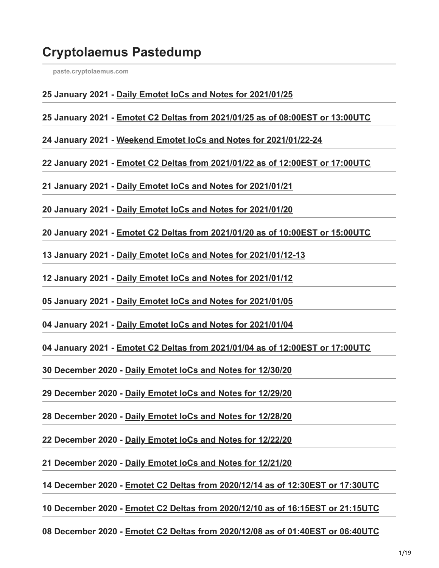# **Cryptolaemus Pastedump**

**[paste.cryptolaemus.com](https://paste.cryptolaemus.com/)**

#### **25 January 2021 - [Daily Emotet IoCs and Notes for 2021/01/25](https://paste.cryptolaemus.com/emotet/2021/01/25/emotet-malware-IoCs_01-25-21.html)**

**25 January 2021 - [Emotet C2 Deltas from 2021/01/25 as of 08:00EST or 13:00UTC](https://paste.cryptolaemus.com/emotet/2021/01/25/emotet-C2-Deltas-01-25-2021.html)**

**24 January 2021 - [Weekend Emotet IoCs and Notes for 2021/01/22-24](https://paste.cryptolaemus.com/emotet/2021/01/24/24-emotet-malware-IoCs_01-24-21.html)**

**22 January 2021 - [Emotet C2 Deltas from 2021/01/22 as of 12:00EST or 17:00UTC](https://paste.cryptolaemus.com/emotet/2021/01/22/emotet-C2-Deltas-01-22-2021.html)**

**21 January 2021 - [Daily Emotet IoCs and Notes for 2021/01/21](https://paste.cryptolaemus.com/emotet/2021/01/21/emotet-malware-IoCs_01-21-21.html)**

**20 January 2021 - [Daily Emotet IoCs and Notes for 2021/01/20](https://paste.cryptolaemus.com/emotet/2021/01/20/emotet-malware-IoCs_01-20-21.html)**

**20 January 2021 - [Emotet C2 Deltas from 2021/01/20 as of 10:00EST or 15:00UTC](https://paste.cryptolaemus.com/emotet/2021/01/20/emotet-C2-Deltas-01-20-2021.html)**

**13 January 2021 - [Daily Emotet IoCs and Notes for 2021/01/12-13](https://paste.cryptolaemus.com/emotet/2021/01/13/13-emotet-malware-IoCs_01-12-13-21.html)**

**12 January 2021 - [Daily Emotet IoCs and Notes for 2021/01/12](https://paste.cryptolaemus.com/emotet/2021/01/12/emotet-malware-IoCs_01-12-21.html)**

**05 January 2021 - [Daily Emotet IoCs and Notes for 2021/01/05](https://paste.cryptolaemus.com/emotet/2021/01/05/emotet-malware-IoCs_01-05-21.html)**

**04 January 2021 - [Daily Emotet IoCs and Notes for 2021/01/04](https://paste.cryptolaemus.com/emotet/2021/01/04/emotet-malware-IoCs_01-04-21.html)**

**04 January 2021 - [Emotet C2 Deltas from 2021/01/04 as of 12:00EST or 17:00UTC](https://paste.cryptolaemus.com/emotet/2021/01/04/emotet-C2-Deltas-01-04-2021.html)**

**30 December 2020 - [Daily Emotet IoCs and Notes for 12/30/20](https://paste.cryptolaemus.com/emotet/2020/12/30/emotet-malware-IoCs_12-30-20.html)**

**29 December 2020 - [Daily Emotet IoCs and Notes for 12/29/20](https://paste.cryptolaemus.com/emotet/2020/12/29/emotet-malware-IoCs_12-29-20.html)**

**28 December 2020 - [Daily Emotet IoCs and Notes for 12/28/20](https://paste.cryptolaemus.com/emotet/2020/12/28/emotet-malware-IoCs_12-28-20.html)**

**22 December 2020 - [Daily Emotet IoCs and Notes for 12/22/20](https://paste.cryptolaemus.com/emotet/2020/12/22/emotet-malware-IoCs_12-22-20.html)**

**21 December 2020 - [Daily Emotet IoCs and Notes for 12/21/20](https://paste.cryptolaemus.com/emotet/2020/12/21/emotet-malware-IoCs_12-21-20.html)**

**14 December 2020 - [Emotet C2 Deltas from 2020/12/14 as of 12:30EST or 17:30UTC](https://paste.cryptolaemus.com/emotet/2020/12/14/emotet-C2-Deltas-1230-1730_12-14-20.html)**

**10 December 2020 - [Emotet C2 Deltas from 2020/12/10 as of 16:15EST or 21:15UTC](https://paste.cryptolaemus.com/emotet/2020/12/10/emotet-C2-Deltas-1615-2115_12-10-20.html)**

**08 December 2020 - [Emotet C2 Deltas from 2020/12/08 as of 01:40EST or 06:40UTC](https://paste.cryptolaemus.com/emotet/2020/12/08/emotet-C2-Deltas-0140-0640_12-08-20.html)**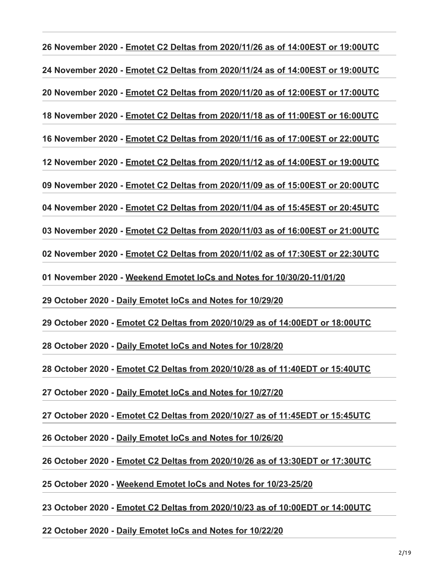**26 November 2020 - [Emotet C2 Deltas from 2020/11/26 as of 14:00EST or 19:00UTC](https://paste.cryptolaemus.com/emotet/2020/11/26/emotet-C2-Deltas-1400-1900_11-26-20.html) 24 November 2020 - [Emotet C2 Deltas from 2020/11/24 as of 14:00EST or 19:00UTC](https://paste.cryptolaemus.com/emotet/2020/11/24/emotet-C2-Deltas-1400-1900_11-24-20.html) 20 November 2020 - [Emotet C2 Deltas from 2020/11/20 as of 12:00EST or 17:00UTC](https://paste.cryptolaemus.com/emotet/2020/11/20/emotet-C2-Deltas-1200-1700_11-20-20.html) 18 November 2020 - [Emotet C2 Deltas from 2020/11/18 as of 11:00EST or 16:00UTC](https://paste.cryptolaemus.com/emotet/2020/11/18/emotet-C2-Deltas-1100-1600_11-18-20.html) 16 November 2020 - [Emotet C2 Deltas from 2020/11/16 as of 17:00EST or 22:00UTC](https://paste.cryptolaemus.com/emotet/2020/11/16/emotet-C2-Deltas-1700-2200_11-16-20.html) 12 November 2020 - [Emotet C2 Deltas from 2020/11/12 as of 14:00EST or 19:00UTC](https://paste.cryptolaemus.com/emotet/2020/11/12/emotet-C2-Deltas-1900-1400_11-12-20.html) 09 November 2020 - [Emotet C2 Deltas from 2020/11/09 as of 15:00EST or 20:00UTC](https://paste.cryptolaemus.com/emotet/2020/11/09/emotet-C2-Deltas-2000-1500_11-09-20.html) 04 November 2020 - [Emotet C2 Deltas from 2020/11/04 as of 15:45EST or 20:45UTC](https://paste.cryptolaemus.com/emotet/2020/11/04/emotet-C2-Deltas-2045-1545_11-04-20.html) 03 November 2020 - [Emotet C2 Deltas from 2020/11/03 as of 16:00EST or 21:00UTC](https://paste.cryptolaemus.com/emotet/2020/11/03/emotet-C2-Deltas-2100-1600_11-03-20.html) 02 November 2020 - [Emotet C2 Deltas from 2020/11/02 as of 17:30EST or 22:30UTC](https://paste.cryptolaemus.com/emotet/2020/11/02/emotet-C2-Deltas-0600-0100_11-02-20.html) 01 November 2020 - [Weekend Emotet IoCs and Notes for 10/30/20-11/01/20](https://paste.cryptolaemus.com/emotet/2020/11/01/11-01-emotet-malware-IoCs_11-01-20.html) 29 October 2020 - [Daily Emotet IoCs and Notes for 10/29/20](https://paste.cryptolaemus.com/emotet/2020/10/29/emotet-malware-IoCs_10-29-20.html) 29 October 2020 - [Emotet C2 Deltas from 2020/10/29 as of 14:00EDT or 18:00UTC](https://paste.cryptolaemus.com/emotet/2020/10/29/emotet-C2-Deltas-1800-1400_10-29-20.html) 28 October 2020 - [Daily Emotet IoCs and Notes for 10/28/20](https://paste.cryptolaemus.com/emotet/2020/10/28/emotet-malware-IoCs_10-28-20.html) 28 October 2020 - [Emotet C2 Deltas from 2020/10/28 as of 11:40EDT or 15:40UTC](https://paste.cryptolaemus.com/emotet/2020/10/28/emotet-C2-Deltas-1540-1140_10-28-20.html) 27 October 2020 - [Daily Emotet IoCs and Notes for 10/27/20](https://paste.cryptolaemus.com/emotet/2020/10/27/emotet-malware-IoCs_10-27-20.html) 27 October 2020 - [Emotet C2 Deltas from 2020/10/27 as of 11:45EDT or 15:45UTC](https://paste.cryptolaemus.com/emotet/2020/10/27/emotet-C2-Deltas-1545-1145_10-27-20.html) 26 October 2020 - [Daily Emotet IoCs and Notes for 10/26/20](https://paste.cryptolaemus.com/emotet/2020/10/26/emotet-malware-IoCs_10-26-20.html) 26 October 2020 - [Emotet C2 Deltas from 2020/10/26 as of 13:30EDT or 17:30UTC](https://paste.cryptolaemus.com/emotet/2020/10/26/emotet-C2-Deltas-1730-1330_10-26-20.html) 25 October 2020 - [Weekend Emotet IoCs and Notes for 10/23-25/20](https://paste.cryptolaemus.com/emotet/2020/10/25/25-emotet-malware-IoCs_10-25-20.html) 23 October 2020 - [Emotet C2 Deltas from 2020/10/23 as of 10:00EDT or 14:00UTC](https://paste.cryptolaemus.com/emotet/2020/10/23/emotet-C2-Deltas-1400-1000_10-23-20.html)**

**22 October 2020 - [Daily Emotet IoCs and Notes for 10/22/20](https://paste.cryptolaemus.com/emotet/2020/10/22/emotet-malware-IoCs_10-22-20.html)**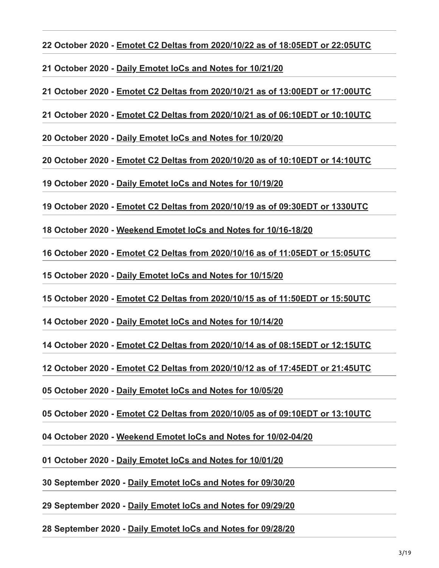**22 October 2020 - [Emotet C2 Deltas from 2020/10/22 as of 18:05EDT or 22:05UTC](https://paste.cryptolaemus.com/emotet/2020/10/22/emotet-C2-Deltas-2205-1805_10-22-20.html)**

**21 October 2020 - [Daily Emotet IoCs and Notes for 10/21/20](https://paste.cryptolaemus.com/emotet/2020/10/21/emotet-malware-IoCs_10-21-20.html)**

**21 October 2020 - [Emotet C2 Deltas from 2020/10/21 as of 13:00EDT or 17:00UTC](https://paste.cryptolaemus.com/emotet/2020/10/21/emotet-C2-Deltas-1700-1300_10-21-20.html)**

**21 October 2020 - [Emotet C2 Deltas from 2020/10/21 as of 06:10EDT or 10:10UTC](https://paste.cryptolaemus.com/emotet/2020/10/21/emotet-C2-Deltas-1010-0610_10-21-20.html)**

**20 October 2020 - [Daily Emotet IoCs and Notes for 10/20/20](https://paste.cryptolaemus.com/emotet/2020/10/20/emotet-malware-IoCs_10-20-20.html)**

**20 October 2020 - [Emotet C2 Deltas from 2020/10/20 as of 10:10EDT or 14:10UTC](https://paste.cryptolaemus.com/emotet/2020/10/20/emotet-C2-Deltas-1410-1010_10-20-20.html)**

**19 October 2020 - [Daily Emotet IoCs and Notes for 10/19/20](https://paste.cryptolaemus.com/emotet/2020/10/19/emotet-malware-IoCs_10-19-20.html)**

**19 October 2020 - [Emotet C2 Deltas from 2020/10/19 as of 09:30EDT or 1330UTC](https://paste.cryptolaemus.com/emotet/2020/10/19/emotet-C2-Deltas-1330-0930_10-19-20.html)**

**18 October 2020 - [Weekend Emotet IoCs and Notes for 10/16-18/20](https://paste.cryptolaemus.com/emotet/2020/10/18/18-emotet-malware-IoCs_10-16-18-20.html)**

**16 October 2020 - [Emotet C2 Deltas from 2020/10/16 as of 11:05EDT or 15:05UTC](https://paste.cryptolaemus.com/emotet/2020/10/16/emotet-C2-Deltas-1505-1105_10-16-20.html)**

**15 October 2020 - [Daily Emotet IoCs and Notes for 10/15/20](https://paste.cryptolaemus.com/emotet/2020/10/15/emotet-malware-IoCs_10-15-20.html)**

**15 October 2020 - [Emotet C2 Deltas from 2020/10/15 as of 11:50EDT or 15:50UTC](https://paste.cryptolaemus.com/emotet/2020/10/15/emotet-C2-Deltas-1550-1150_10-15-20.html)**

**14 October 2020 - [Daily Emotet IoCs and Notes for 10/14/20](https://paste.cryptolaemus.com/emotet/2020/10/14/emotet-malware-IoCs_10-14-20.html)**

**14 October 2020 - [Emotet C2 Deltas from 2020/10/14 as of 08:15EDT or 12:15UTC](https://paste.cryptolaemus.com/emotet/2020/10/14/emotet-C2-Deltas-1215-0815_10-14-20.html)**

**12 October 2020 - [Emotet C2 Deltas from 2020/10/12 as of 17:45EDT or 21:45UTC](https://paste.cryptolaemus.com/emotet/2020/10/12/emotet-C2-Deltas-2145-1745_10-12-20.html)**

**05 October 2020 - [Daily Emotet IoCs and Notes for 10/05/20](https://paste.cryptolaemus.com/emotet/2020/10/05/emotet-malware-IoCs_10-05-20.html)**

**05 October 2020 - [Emotet C2 Deltas from 2020/10/05 as of 09:10EDT or 13:10UTC](https://paste.cryptolaemus.com/emotet/2020/10/05/emotet-C2-Deltas-1310-0910_01-05-20.html)**

**04 October 2020 - [Weekend Emotet IoCs and Notes for 10/02-04/20](https://paste.cryptolaemus.com/emotet/2020/10/04/04-emotet-malware-IoCs_10-02-04-20.html)**

**01 October 2020 - [Daily Emotet IoCs and Notes for 10/01/20](https://paste.cryptolaemus.com/emotet/2020/10/01/emotet-malware-IoCs_10-01-20.html)**

**30 September 2020 - [Daily Emotet IoCs and Notes for 09/30/20](https://paste.cryptolaemus.com/emotet/2020/09/30/emotet-malware-IoCs_09-30-20.html)**

**29 September 2020 - [Daily Emotet IoCs and Notes for 09/29/20](https://paste.cryptolaemus.com/emotet/2020/09/29/emotet-malware-IoCs_09-29-20.html)**

**28 September 2020 - [Daily Emotet IoCs and Notes for 09/28/20](https://paste.cryptolaemus.com/emotet/2020/09/28/emotet-malware-IoCs_09-28-20.html)**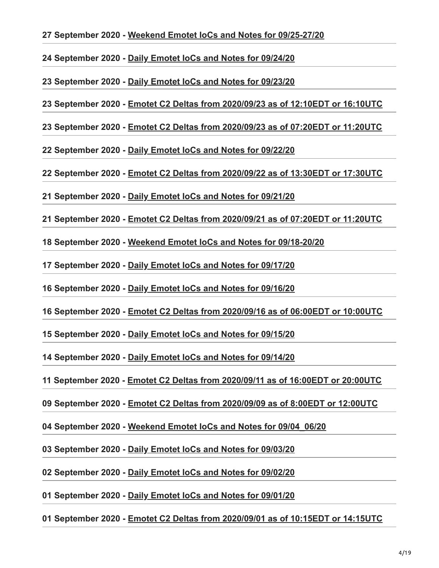**27 September 2020 - [Weekend Emotet IoCs and Notes for 09/25-27/20](https://paste.cryptolaemus.com/emotet/2020/09/27/27-emotet-malware-IoCs_09-25-27-20.html)**

**24 September 2020 - [Daily Emotet IoCs and Notes for 09/24/20](https://paste.cryptolaemus.com/emotet/2020/09/24/emotet-malware-IoCs_09-24-20.html)**

**23 September 2020 - [Daily Emotet IoCs and Notes for 09/23/20](https://paste.cryptolaemus.com/emotet/2020/09/23/emotet-malware-IoCs_09-23-20.html)**

**23 September 2020 - [Emotet C2 Deltas from 2020/09/23 as of 12:10EDT or 16:10UTC](https://paste.cryptolaemus.com/emotet/2020/09/23/emotet-C2-Deltas-1610-1210_09-23-20.html)**

**23 September 2020 - [Emotet C2 Deltas from 2020/09/23 as of 07:20EDT or 11:20UTC](https://paste.cryptolaemus.com/emotet/2020/09/23/emotet-C2-Deltas-1120-0720_09-23-20.html)**

**22 September 2020 - [Daily Emotet IoCs and Notes for 09/22/20](https://paste.cryptolaemus.com/emotet/2020/09/22/emotet-malware-IoCs_09-22-20.html)**

**22 September 2020 - [Emotet C2 Deltas from 2020/09/22 as of 13:30EDT or 17:30UTC](https://paste.cryptolaemus.com/emotet/2020/09/22/emotet-C2-Deltas-1730-1330_09-22-20.html)**

**21 September 2020 - [Daily Emotet IoCs and Notes for 09/21/20](https://paste.cryptolaemus.com/emotet/2020/09/21/emotet-malware-IoCs_09-21-20.html)**

**21 September 2020 - [Emotet C2 Deltas from 2020/09/21 as of 07:20EDT or 11:20UTC](https://paste.cryptolaemus.com/emotet/2020/09/21/emotet-C2-Deltas-1120-0720_09-21-20.html)**

**18 September 2020 - [Weekend Emotet IoCs and Notes for 09/18-20/20](https://paste.cryptolaemus.com/emotet/2020/09/18/20-emotet-malware-IoCs_09-18-20-20.html)**

**17 September 2020 - [Daily Emotet IoCs and Notes for 09/17/20](https://paste.cryptolaemus.com/emotet/2020/09/17/emotet-malware-IoCs_09-17-20.html)**

**16 September 2020 - [Daily Emotet IoCs and Notes for 09/16/20](https://paste.cryptolaemus.com/emotet/2020/09/16/emotet-malware-IoCs_09-16-20.html)**

**16 September 2020 - [Emotet C2 Deltas from 2020/09/16 as of 06:00EDT or 10:00UTC](https://paste.cryptolaemus.com/emotet/2020/09/16/emotet-C2-Deltas-1000-0600_09-16-20.html)**

**15 September 2020 - [Daily Emotet IoCs and Notes for 09/15/20](https://paste.cryptolaemus.com/emotet/2020/09/15/emotet-malware-IoCs_09-15-20.html)**

**14 September 2020 - [Daily Emotet IoCs and Notes for 09/14/20](https://paste.cryptolaemus.com/emotet/2020/09/14/emotet-malware-IoCs_09-14-20.html)**

**11 September 2020 - [Emotet C2 Deltas from 2020/09/11 as of 16:00EDT or 20:00UTC](https://paste.cryptolaemus.com/emotet/2020/09/11/emotet-C2-Deltas-2000-1600_09-11-20.html)**

**09 September 2020 - [Emotet C2 Deltas from 2020/09/09 as of 8:00EDT or 12:00UTC](https://paste.cryptolaemus.com/emotet/2020/09/09/emotet-C2-Deltas-0800-1200_09-09-20.html)**

**04 September 2020 - [Weekend Emotet IoCs and Notes for 09/04\\_06/20](https://paste.cryptolaemus.com/emotet/2020/09/04/06-emotet-malware-IoCs_09-04-06-20.html)**

**03 September 2020 - [Daily Emotet IoCs and Notes for 09/03/20](https://paste.cryptolaemus.com/emotet/2020/09/03/emotet-malware-IoCs_09-03-20.html)**

**02 September 2020 - [Daily Emotet IoCs and Notes for 09/02/20](https://paste.cryptolaemus.com/emotet/2020/09/02/emotet-malware-IoCs_09-02-20.html)**

**01 September 2020 - [Daily Emotet IoCs and Notes for 09/01/20](https://paste.cryptolaemus.com/emotet/2020/09/01/emotet-malware-IoCs_09-01-20.html)**

**01 September 2020 - [Emotet C2 Deltas from 2020/09/01 as of 10:15EDT or 14:15UTC](https://paste.cryptolaemus.com/emotet/2020/09/01/emotet-C2-Deltas-1015-1415_09-01-20.html)**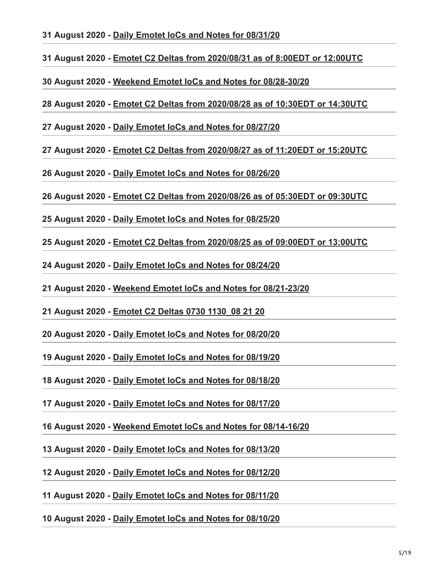**31 August 2020 - [Daily Emotet IoCs and Notes for 08/31/20](https://paste.cryptolaemus.com/emotet/2020/08/31/emotet-malware-IoCs_08-31-20.html)**

**31 August 2020 - [Emotet C2 Deltas from 2020/08/31 as of 8:00EDT or 12:00UTC](https://paste.cryptolaemus.com/emotet/2020/08/31/emotet-C2-Deltas-0800-1200_08-31-20.html)**

**30 August 2020 - [Weekend Emotet IoCs and Notes for 08/28-30/20](https://paste.cryptolaemus.com/emotet/2020/08/30/30-emotet-malware-IoCs_08-28-30-20.html)**

**28 August 2020 - [Emotet C2 Deltas from 2020/08/28 as of 10:30EDT or 14:30UTC](https://paste.cryptolaemus.com/emotet/2020/08/28/emotet-C2-Deltas-1120-1520_08-28-20.html)**

**27 August 2020 - [Daily Emotet IoCs and Notes for 08/27/20](https://paste.cryptolaemus.com/emotet/2020/08/27/emotet-malware-IoCs_08-27-20.html)**

**27 August 2020 - [Emotet C2 Deltas from 2020/08/27 as of 11:20EDT or 15:20UTC](https://paste.cryptolaemus.com/emotet/2020/08/27/emotet-C2-Deltas-1120-1520_08-27-20.html)**

**26 August 2020 - [Daily Emotet IoCs and Notes for 08/26/20](https://paste.cryptolaemus.com/emotet/2020/08/26/emotet-malware-IoCs_08-26-20.html)**

**26 August 2020 - [Emotet C2 Deltas from 2020/08/26 as of 05:30EDT or 09:30UTC](https://paste.cryptolaemus.com/emotet/2020/08/26/emotet-C2-Deltas-0530-0930_08-26-20.html)**

**25 August 2020 - [Daily Emotet IoCs and Notes for 08/25/20](https://paste.cryptolaemus.com/emotet/2020/08/25/emotet-malware-IoCs_08-25-20.html)**

**25 August 2020 - [Emotet C2 Deltas from 2020/08/25 as of 09:00EDT or 13:00UTC](https://paste.cryptolaemus.com/emotet/2020/08/25/emotet-C2-Deltas-0900-1300_08-25-20.html)**

**24 August 2020 - [Daily Emotet IoCs and Notes for 08/24/20](https://paste.cryptolaemus.com/emotet/2020/08/24/emotet-malware-IoCs_08-24-20.html)**

**21 August 2020 - [Weekend Emotet IoCs and Notes for 08/21-23/20](https://paste.cryptolaemus.com/emotet/2020/08/21/23-emotet-malware-IoCs_08-21-23-20.html)**

**21 August 2020 - [Emotet C2 Deltas 0730 1130\\_08 21 20](https://paste.cryptolaemus.com/2020/08/21/emotet-C2-Deltas-0730-1130_08-21-20.html)**

**20 August 2020 - [Daily Emotet IoCs and Notes for 08/20/20](https://paste.cryptolaemus.com/emotet/2020/08/20/emotet-malware-IoCs_08-20-20.html)**

**19 August 2020 - [Daily Emotet IoCs and Notes for 08/19/20](https://paste.cryptolaemus.com/emotet/2020/08/19/emotet-malware-IoCs_08-19-20.html)**

**18 August 2020 - [Daily Emotet IoCs and Notes for 08/18/20](https://paste.cryptolaemus.com/emotet/2020/08/18/emotet-malware-IoCs_08-18-20.html)**

**17 August 2020 - [Daily Emotet IoCs and Notes for 08/17/20](https://paste.cryptolaemus.com/emotet/2020/08/17/emotet-malware-IoCs_08-17-20.html)**

**16 August 2020 - [Weekend Emotet IoCs and Notes for 08/14-16/20](https://paste.cryptolaemus.com/emotet/2020/08/16/16-emotet-malware-IoCs_08-14-16-20.html)**

**13 August 2020 - [Daily Emotet IoCs and Notes for 08/13/20](https://paste.cryptolaemus.com/emotet/2020/08/13/emotet-malware-IoCs_08-13-20.html)**

**12 August 2020 - [Daily Emotet IoCs and Notes for 08/12/20](https://paste.cryptolaemus.com/emotet/2020/08/12/emotet-malware-IoCs_08-12-20.html)**

**11 August 2020 - [Daily Emotet IoCs and Notes for 08/11/20](https://paste.cryptolaemus.com/emotet/2020/08/11/emotet-malware-IoCs_08-11-20.html)**

**10 August 2020 - [Daily Emotet IoCs and Notes for 08/10/20](https://paste.cryptolaemus.com/emotet/2020/08/10/emotet-malware-IoCs_08-10-20.html)**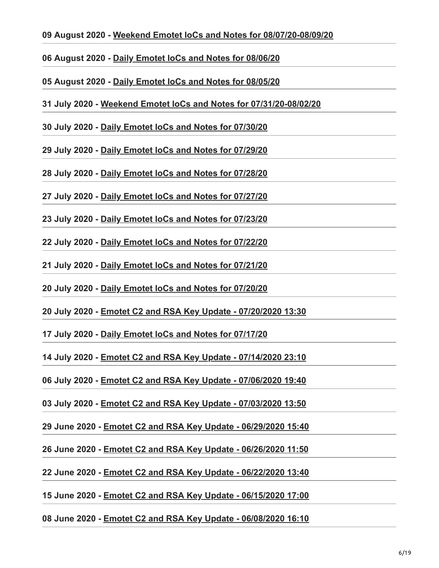#### **09 August 2020 - [Weekend Emotet IoCs and Notes for 08/07/20-08/09/20](https://paste.cryptolaemus.com/emotet/2020/08/09/09-emotet-malware-IoCs_08-07-09-20.html)**

- **06 August 2020 [Daily Emotet IoCs and Notes for 08/06/20](https://paste.cryptolaemus.com/emotet/2020/08/06/emotet-malware-IoCs_08-06-20.html)**
- **05 August 2020 [Daily Emotet IoCs and Notes for 08/05/20](https://paste.cryptolaemus.com/emotet/2020/08/05/emotet-malware-IoCs_08-05-20.html)**
- **31 July 2020 - [Weekend Emotet IoCs and Notes for 07/31/20-08/02/20](https://paste.cryptolaemus.com/emotet/2020/07/31/08-02-emotet-malware-IoCs_07-31-08-02-20.html)**
- **30 July 2020 - [Daily Emotet IoCs and Notes for 07/30/20](https://paste.cryptolaemus.com/emotet/2020/07/30/emotet-malware-IoCs_07-30-20.html)**
- **29 July 2020 - [Daily Emotet IoCs and Notes for 07/29/20](https://paste.cryptolaemus.com/emotet/2020/07/29/emotet-malware-IoCs_07-29-20.html)**
- **28 July 2020 - [Daily Emotet IoCs and Notes for 07/28/20](https://paste.cryptolaemus.com/emotet/2020/07/28/emotet-malware-IoCs_07-28-20.html)**
- **27 July 2020 - [Daily Emotet IoCs and Notes for 07/27/20](https://paste.cryptolaemus.com/emotet/2020/07/27/emotet-malware-IoCs_07-27-20.html)**
- **23 July 2020 - [Daily Emotet IoCs and Notes for 07/23/20](https://paste.cryptolaemus.com/emotet/2020/07/23/emotet-malware-IoCs_07-23-20.html)**
- **22 July 2020 - [Daily Emotet IoCs and Notes for 07/22/20](https://paste.cryptolaemus.com/emotet/2020/07/22/emotet-malware-IoCs_07-22-20.html)**
- **21 July 2020 - [Daily Emotet IoCs and Notes for 07/21/20](https://paste.cryptolaemus.com/emotet/2020/07/21/emotet-malware-IoCs_07-21-20.html)**
- **20 July 2020 - [Daily Emotet IoCs and Notes for 07/20/20](https://paste.cryptolaemus.com/emotet/2020/07/20/emotet-malware-IoCs_07-20-20.html)**
- **20 July 2020 - [Emotet C2 and RSA Key Update 07/20/2020 13:30](https://paste.cryptolaemus.com/emotet/2020/07/20/emotet-c2-rsa-update-07-20-20-1.html)**
- **17 July 2020 - [Daily Emotet IoCs and Notes for 07/17/20](https://paste.cryptolaemus.com/emotet/2020/07/17/emotet-malware-IoCs_07-17-20.html)**
- **14 July 2020 - [Emotet C2 and RSA Key Update 07/14/2020 23:10](https://paste.cryptolaemus.com/emotet/2020/07/14/emotet-c2-rsa-update-07-14-20-1.html)**
- **06 July 2020 - [Emotet C2 and RSA Key Update 07/06/2020 19:40](https://paste.cryptolaemus.com/emotet/2020/07/06/emotet-c2-rsa-update-07-06-20-1.html)**
- **03 July 2020 - [Emotet C2 and RSA Key Update 07/03/2020 13:50](https://paste.cryptolaemus.com/emotet/2020/07/03/emotet-c2-rsa-update-07-03-20-1.html)**
- **29 June 2020 [Emotet C2 and RSA Key Update 06/29/2020 15:40](https://paste.cryptolaemus.com/emotet/2020/06/29/emotet-c2-rsa-update-06-29-20-1.html)**
- **26 June 2020 [Emotet C2 and RSA Key Update 06/26/2020 11:50](https://paste.cryptolaemus.com/emotet/2020/06/26/emotet-c2-rsa-update-06-26-20-1.html)**
- **22 June 2020 [Emotet C2 and RSA Key Update 06/22/2020 13:40](https://paste.cryptolaemus.com/emotet/2020/06/22/emotet-c2-rsa-update-06-22-20-1.html)**
- **15 June 2020 [Emotet C2 and RSA Key Update 06/15/2020 17:00](https://paste.cryptolaemus.com/emotet/2020/06/15/emotet-c2-rsa-update-06-15-20-1.html)**

# **08 June 2020 - [Emotet C2 and RSA Key Update - 06/08/2020 16:10](https://paste.cryptolaemus.com/emotet/2020/06/08/emotet-c2-rsa-update-06-08-20-1.html)**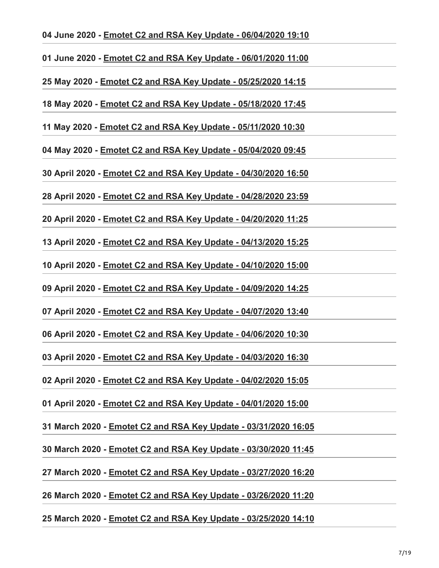#### **04 June 2020 - [Emotet C2 and RSA Key Update - 06/04/2020 19:10](https://paste.cryptolaemus.com/emotet/2020/06/04/emotet-c2-rsa-update-06-04-20-1.html)**

**01 June 2020 - [Emotet C2 and RSA Key Update - 06/01/2020 11:00](https://paste.cryptolaemus.com/emotet/2020/06/01/emotet-c2-rsa-update-06-01-20-1.html)**

**25 May 2020 - [Emotet C2 and RSA Key Update - 05/25/2020 14:15](https://paste.cryptolaemus.com/emotet/2020/05/25/emotet-c2-rsa-update-05-25-20-1.html)**

**18 May 2020 - [Emotet C2 and RSA Key Update - 05/18/2020 17:45](https://paste.cryptolaemus.com/emotet/2020/05/18/emotet-c2-rsa-update-05-18-20-1.html)**

**11 May 2020 - [Emotet C2 and RSA Key Update - 05/11/2020 10:30](https://paste.cryptolaemus.com/emotet/2020/05/11/emotet-c2-rsa-update-05-11-20-1.html)**

**04 May 2020 - [Emotet C2 and RSA Key Update - 05/04/2020 09:45](https://paste.cryptolaemus.com/emotet/2020/05/04/emotet-c2-rsa-update-05-04-20-1.html)**

**30 April 2020 - [Emotet C2 and RSA Key Update - 04/30/2020 16:50](https://paste.cryptolaemus.com/emotet/2020/04/30/emotet-c2-rsa-update-04-30-20-1.html)**

**28 April 2020 - [Emotet C2 and RSA Key Update - 04/28/2020 23:59](https://paste.cryptolaemus.com/emotet/2020/04/28/emotet-c2-rsa-update-04-28-20-1.html)**

**20 April 2020 - [Emotet C2 and RSA Key Update - 04/20/2020 11:25](https://paste.cryptolaemus.com/emotet/2020/04/20/emotet-c2-rsa-update-04-20-20-1.html)**

**13 April 2020 - [Emotet C2 and RSA Key Update - 04/13/2020 15:25](https://paste.cryptolaemus.com/emotet/2020/04/13/emotet-c2-rsa-update-04-13-20-1.html)**

**10 April 2020 - [Emotet C2 and RSA Key Update - 04/10/2020 15:00](https://paste.cryptolaemus.com/emotet/2020/04/10/emotet-c2-rsa-update-04-10-20-1.html)**

**09 April 2020 - [Emotet C2 and RSA Key Update - 04/09/2020 14:25](https://paste.cryptolaemus.com/emotet/2020/04/09/emotet-c2-rsa-update-04-09-20-1.html)**

**07 April 2020 - [Emotet C2 and RSA Key Update - 04/07/2020 13:40](https://paste.cryptolaemus.com/emotet/2020/04/07/emotet-c2-rsa-update-04-07-20-1.html)**

**06 April 2020 - [Emotet C2 and RSA Key Update - 04/06/2020 10:30](https://paste.cryptolaemus.com/emotet/2020/04/06/emotet-c2-rsa-update-04-06-20-1.html)**

**03 April 2020 - [Emotet C2 and RSA Key Update - 04/03/2020 16:30](https://paste.cryptolaemus.com/emotet/2020/04/03/emotet-c2-rsa-update-04-03-20-1.html)**

**02 April 2020 - [Emotet C2 and RSA Key Update - 04/02/2020 15:05](https://paste.cryptolaemus.com/emotet/2020/04/02/emotet-c2-rsa-update-04-02-20-1.html)**

**01 April 2020 - [Emotet C2 and RSA Key Update - 04/01/2020 15:00](https://paste.cryptolaemus.com/emotet/2020/04/01/emotet-c2-rsa-update-04-01-20-1.html)**

**31 March 2020 - [Emotet C2 and RSA Key Update - 03/31/2020 16:05](https://paste.cryptolaemus.com/emotet/2020/03/31/emotet-c2-rsa-update-03-31-20-1.html)**

**30 March 2020 - [Emotet C2 and RSA Key Update - 03/30/2020 11:45](https://paste.cryptolaemus.com/emotet/2020/03/30/emotet-c2-rsa-update-03-30-20-1.html)**

**27 March 2020 - [Emotet C2 and RSA Key Update - 03/27/2020 16:20](https://paste.cryptolaemus.com/emotet/2020/03/27/emotet-c2-rsa-update-03-27-20-1.html)**

**26 March 2020 - [Emotet C2 and RSA Key Update - 03/26/2020 11:20](https://paste.cryptolaemus.com/emotet/2020/03/26/emotet-c2-rsa-update-03-26-20-1.html)**

**25 March 2020 - [Emotet C2 and RSA Key Update - 03/25/2020 14:10](https://paste.cryptolaemus.com/emotet/2020/03/25/emotet-c2-rsa-update-03-25-20-2.html)**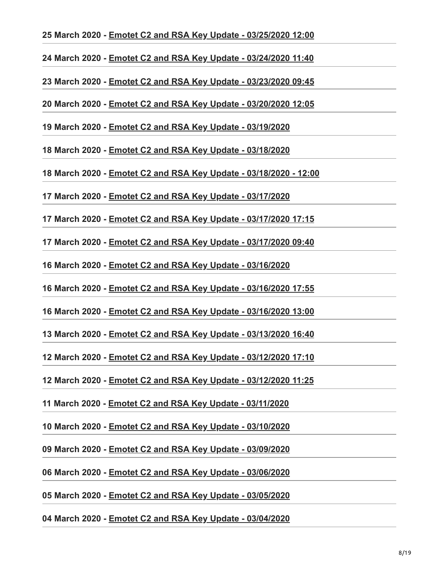#### **25 March 2020 - [Emotet C2 and RSA Key Update - 03/25/2020 12:00](https://paste.cryptolaemus.com/emotet/2020/03/25/emotet-c2-rsa-update-03-25-20-1.html)**

**24 March 2020 - [Emotet C2 and RSA Key Update - 03/24/2020 11:40](https://paste.cryptolaemus.com/emotet/2020/03/24/emotet-c2-rsa-update-03-24-20-1.html)**

**23 March 2020 - [Emotet C2 and RSA Key Update - 03/23/2020 09:45](https://paste.cryptolaemus.com/emotet/2020/03/23/emotet-c2-rsa-update-03-23-20-1.html)**

**20 March 2020 - [Emotet C2 and RSA Key Update - 03/20/2020 12:05](https://paste.cryptolaemus.com/emotet/2020/03/20/emotet-c2-rsa-update-03-20-20-1.html)**

**19 March 2020 - [Emotet C2 and RSA Key Update - 03/19/2020](https://paste.cryptolaemus.com/emotet/2020/03/19/emotet-c2-rsa-update-03-19-20-1500.html)**

**18 March 2020 - [Emotet C2 and RSA Key Update - 03/18/2020](https://paste.cryptolaemus.com/emotet/2020/03/18/emotet-c2-rsa-update-03-18-20.html)**

**18 March 2020 - [Emotet C2 and RSA Key Update - 03/18/2020 - 12:00](https://paste.cryptolaemus.com/emotet/2020/03/18/emotet-c2-rsa-update-03-18-20-1.html)**

**17 March 2020 - [Emotet C2 and RSA Key Update - 03/17/2020](https://paste.cryptolaemus.com/emotet/2020/03/17/emotet-c2-rsa-update-03-17-20.html)**

**17 March 2020 - [Emotet C2 and RSA Key Update - 03/17/2020 17:15](https://paste.cryptolaemus.com/emotet/2020/03/17/emotet-c2-rsa-update-03-17-20-2.html)**

**17 March 2020 - [Emotet C2 and RSA Key Update - 03/17/2020 09:40](https://paste.cryptolaemus.com/emotet/2020/03/17/emotet-c2-rsa-update-03-17-20-1.html)**

**16 March 2020 - [Emotet C2 and RSA Key Update - 03/16/2020](https://paste.cryptolaemus.com/emotet/2020/03/16/emotet-c2-rsa-update-03-16-20.html)**

**16 March 2020 - [Emotet C2 and RSA Key Update - 03/16/2020 17:55](https://paste.cryptolaemus.com/emotet/2020/03/16/emotet-c2-rsa-update-03-16-20-2.html)**

**16 March 2020 - [Emotet C2 and RSA Key Update - 03/16/2020 13:00](https://paste.cryptolaemus.com/emotet/2020/03/16/emotet-c2-rsa-update-03-16-20-1.html)**

**13 March 2020 - [Emotet C2 and RSA Key Update - 03/13/2020 16:40](https://paste.cryptolaemus.com/emotet/2020/03/13/emotet-c2-rsa-update-03-13-20-1.html)**

**12 March 2020 - [Emotet C2 and RSA Key Update - 03/12/2020 17:10](https://paste.cryptolaemus.com/emotet/2020/03/12/emotet-c2-rsa-update-03-12-20-2.html)**

**12 March 2020 - [Emotet C2 and RSA Key Update - 03/12/2020 11:25](https://paste.cryptolaemus.com/emotet/2020/03/12/emotet-c2-rsa-update-03-12-20-1.html)**

**11 March 2020 - [Emotet C2 and RSA Key Update - 03/11/2020](https://paste.cryptolaemus.com/emotet/2020/03/11/emotet-c2-rsa-update-03-11-20.html)**

**10 March 2020 - [Emotet C2 and RSA Key Update - 03/10/2020](https://paste.cryptolaemus.com/emotet/2020/03/10/emotet-c2-rsa-update-03-10-20.html)**

**09 March 2020 - [Emotet C2 and RSA Key Update - 03/09/2020](https://paste.cryptolaemus.com/emotet/2020/03/09/emotet-c2-rsa-update-03-09-20.html)**

**06 March 2020 - [Emotet C2 and RSA Key Update - 03/06/2020](https://paste.cryptolaemus.com/emotet/2020/03/06/emotet-c2-rsa-update-03-06-20.html)**

**05 March 2020 - [Emotet C2 and RSA Key Update - 03/05/2020](https://paste.cryptolaemus.com/emotet/2020/03/05/emotet-c2-rsa-update-03-05-20.html)**

**04 March 2020 - [Emotet C2 and RSA Key Update - 03/04/2020](https://paste.cryptolaemus.com/emotet/2020/03/04/emotet-c2-rsa-update-03-04-20.html)**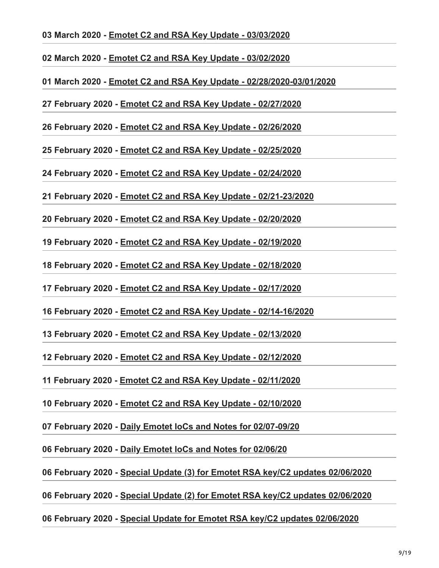#### **03 March 2020 - [Emotet C2 and RSA Key Update - 03/03/2020](https://paste.cryptolaemus.com/emotet/2020/03/03/emotet-c2-rsa-update-03-03-20.html)**

**02 March 2020 - [Emotet C2 and RSA Key Update - 03/02/2020](https://paste.cryptolaemus.com/emotet/2020/03/02/emotet-c2-rsa-update-03-02-20.html)**

**01 March 2020 - [Emotet C2 and RSA Key Update - 02/28/2020-03/01/2020](https://paste.cryptolaemus.com/emotet/2020/03/01/03-01-emotet-c2-rsa-update-02-28-03-01-20.html)**

**27 February 2020 - [Emotet C2 and RSA Key Update - 02/27/2020](https://paste.cryptolaemus.com/emotet/2020/02/27/emotet-c2-rsa-update-02-27-20.html)**

**26 February 2020 - [Emotet C2 and RSA Key Update - 02/26/2020](https://paste.cryptolaemus.com/emotet/2020/02/26/emotet-c2-rsa-update-02-26-20.html)**

**25 February 2020 - [Emotet C2 and RSA Key Update - 02/25/2020](https://paste.cryptolaemus.com/emotet/2020/02/25/emotet-c2-rsa-update-02-25-20.html)**

**24 February 2020 - [Emotet C2 and RSA Key Update - 02/24/2020](https://paste.cryptolaemus.com/emotet/2020/02/24/emotet-c2-rsa-update-02-24-20.html)**

**21 February 2020 - [Emotet C2 and RSA Key Update - 02/21-23/2020](https://paste.cryptolaemus.com/emotet/2020/02/21/23-emotet-c2-rsa-update-02-21-23-20.html)**

**20 February 2020 - [Emotet C2 and RSA Key Update - 02/20/2020](https://paste.cryptolaemus.com/emotet/2020/02/20/emotet-c2-rsa-update-02-20-20.html)**

**19 February 2020 - [Emotet C2 and RSA Key Update - 02/19/2020](https://paste.cryptolaemus.com/emotet/2020/02/19/emotet-c2-rsa-update-02-19-20.html)**

**18 February 2020 - [Emotet C2 and RSA Key Update - 02/18/2020](https://paste.cryptolaemus.com/emotet/2020/02/18/emotet-c2-rsa-update-02-18-20.html)**

**17 February 2020 - [Emotet C2 and RSA Key Update - 02/17/2020](https://paste.cryptolaemus.com/emotet/2020/02/17/emotet-c2-rsa-update-02-17-20.html)**

**16 February 2020 - [Emotet C2 and RSA Key Update - 02/14-16/2020](https://paste.cryptolaemus.com/emotet/2020/02/16/16-emotet-c2-rsa-update-02-14-16-20.html)**

**13 February 2020 - [Emotet C2 and RSA Key Update - 02/13/2020](https://paste.cryptolaemus.com/emotet/2020/02/13/emotet-c2-rsa-update-02-13-20.html)**

**12 February 2020 - [Emotet C2 and RSA Key Update - 02/12/2020](https://paste.cryptolaemus.com/emotet/2020/02/12/emotet-c2-rsa-update-02-12-20.html)**

**11 February 2020 - [Emotet C2 and RSA Key Update - 02/11/2020](https://paste.cryptolaemus.com/emotet/2020/02/11/emotet-c2-rsa-update-02-11-20.html)**

**10 February 2020 - [Emotet C2 and RSA Key Update - 02/10/2020](https://paste.cryptolaemus.com/emotet/2020/02/10/emotet-c2-rsa-update-02-10-20.html)**

**07 February 2020 - [Daily Emotet IoCs and Notes for 02/07-09/20](https://paste.cryptolaemus.com/emotet/2020/02/07/09-emotet-malware-IoCs_02-07-09-20.html)**

**06 February 2020 - [Daily Emotet IoCs and Notes for 02/06/20](https://paste.cryptolaemus.com/emotet/2020/02/06/emotet-malware-IoCs_02-06-20.html)**

**06 February 2020 - [Special Update \(3\) for Emotet RSA key/C2 updates 02/06/2020](https://paste.cryptolaemus.com/emotet/2020/02/06/special-binary-rsa-c2-update-3-02-06-20.html)**

**06 February 2020 - [Special Update \(2\) for Emotet RSA key/C2 updates 02/06/2020](https://paste.cryptolaemus.com/emotet/2020/02/06/special-binary-rsa-c2-update-2-02-06-20.html)**

**06 February 2020 - [Special Update for Emotet RSA key/C2 updates 02/06/2020](https://paste.cryptolaemus.com/emotet/2020/02/06/special-binary-rsa-c2-update-02-06-20.html)**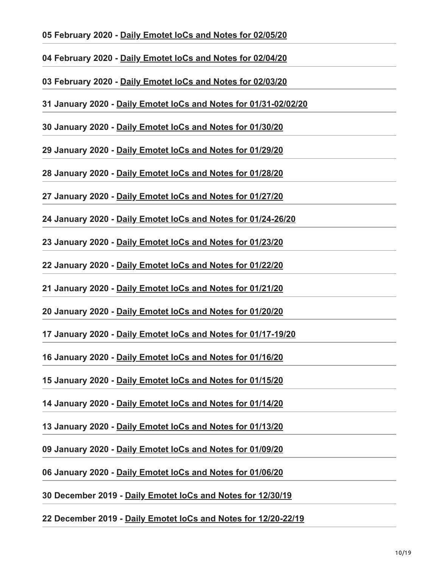# **05 February 2020 - [Daily Emotet IoCs and Notes for 02/05/20](https://paste.cryptolaemus.com/emotet/2020/02/05/emotet-malware-IoCs_02-05-20.html)**

**04 February 2020 - [Daily Emotet IoCs and Notes for 02/04/20](https://paste.cryptolaemus.com/emotet/2020/02/04/emotet-malware-IoCs_02-04-20.html)**

**03 February 2020 - [Daily Emotet IoCs and Notes for 02/03/20](https://paste.cryptolaemus.com/emotet/2020/02/03/emotet-malware-IoCs_02-03-20.html)**

**31 January 2020 - [Daily Emotet IoCs and Notes for 01/31-02/02/20](https://paste.cryptolaemus.com/emotet/2020/01/31/02-02-emotet-malware-IoCs_01-31-02-02-20.html)**

**30 January 2020 - [Daily Emotet IoCs and Notes for 01/30/20](https://paste.cryptolaemus.com/emotet/2020/01/30/emotet-malware-IoCs_01-30-20.html)**

**29 January 2020 - [Daily Emotet IoCs and Notes for 01/29/20](https://paste.cryptolaemus.com/emotet/2020/01/29/emotet-malware-IoCs_01-29-20.html)**

**28 January 2020 - [Daily Emotet IoCs and Notes for 01/28/20](https://paste.cryptolaemus.com/emotet/2020/01/28/emotet-malware-IoCs_01-28-20.html)**

**27 January 2020 - [Daily Emotet IoCs and Notes for 01/27/20](https://paste.cryptolaemus.com/emotet/2020/01/27/emotet-malware-IoCs_01-27-20.html)**

**24 January 2020 - [Daily Emotet IoCs and Notes for 01/24-26/20](https://paste.cryptolaemus.com/emotet/2020/01/24/26-emotet-malware-IoCs_01-24-26-20.html)**

**23 January 2020 - [Daily Emotet IoCs and Notes for 01/23/20](https://paste.cryptolaemus.com/emotet/2020/01/23/emotet-malware-IoCs_01-23-20.html)**

**22 January 2020 - [Daily Emotet IoCs and Notes for 01/22/20](https://paste.cryptolaemus.com/emotet/2020/01/22/emotet-malware-IoCs_01-22-20.html)**

**21 January 2020 - [Daily Emotet IoCs and Notes for 01/21/20](https://paste.cryptolaemus.com/emotet/2020/01/21/emotet-malware-IoCs_01-21-20.html)**

**20 January 2020 - [Daily Emotet IoCs and Notes for 01/20/20](https://paste.cryptolaemus.com/emotet/2020/01/20/emotet-malware-IoCs_01-20-20.html)**

**17 January 2020 - [Daily Emotet IoCs and Notes for 01/17-19/20](https://paste.cryptolaemus.com/emotet/2020/01/17/19-emotet-malware-IoCs_01-17-19-20.html)**

**16 January 2020 - [Daily Emotet IoCs and Notes for 01/16/20](https://paste.cryptolaemus.com/emotet/2020/01/16/emotet-malware-IoCs_01-16-20.html)**

**15 January 2020 - [Daily Emotet IoCs and Notes for 01/15/20](https://paste.cryptolaemus.com/emotet/2020/01/15/emotet-malware-IoCs_01-15-20.html)**

**14 January 2020 - [Daily Emotet IoCs and Notes for 01/14/20](https://paste.cryptolaemus.com/emotet/2020/01/14/emotet-malware-IoCs_01-14-20.html)**

**13 January 2020 - [Daily Emotet IoCs and Notes for 01/13/20](https://paste.cryptolaemus.com/emotet/2020/01/13/emotet-malware-IoCs_01-13-20.html)**

**09 January 2020 - [Daily Emotet IoCs and Notes for 01/09/20](https://paste.cryptolaemus.com/emotet/2020/01/09/emotet-malware-IoCs_01-09-20.html)**

**06 January 2020 - [Daily Emotet IoCs and Notes for 01/06/20](https://paste.cryptolaemus.com/emotet/2020/01/06/emotet-malware-IoCs_01-06-20.html)**

**30 December 2019 - [Daily Emotet IoCs and Notes for 12/30/19](https://paste.cryptolaemus.com/emotet/2019/12/30/emotet-malware-IoCs_12-30-19.html)**

**22 December 2019 - [Daily Emotet IoCs and Notes for 12/20-22/19](https://paste.cryptolaemus.com/emotet/2019/12/22/emotet-malware-IoCs_12-20-19.html)**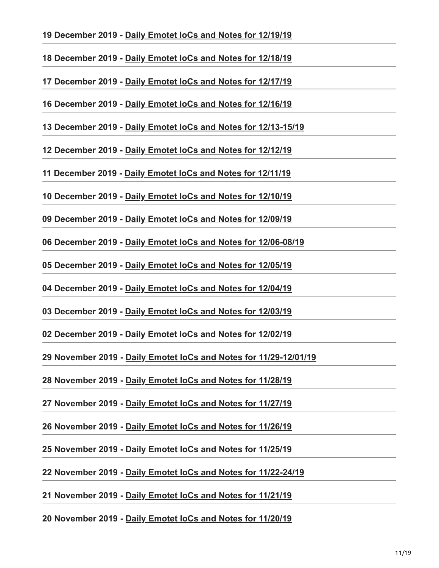# **19 December 2019 - [Daily Emotet IoCs and Notes for 12/19/19](https://paste.cryptolaemus.com/emotet/2019/12/19/emotet-malware-IoCs_12-19-19.html)**

**18 December 2019 - [Daily Emotet IoCs and Notes for 12/18/19](https://paste.cryptolaemus.com/emotet/2019/12/18/emotet-malware-IoCs_12-18-19.html)**

**17 December 2019 - [Daily Emotet IoCs and Notes for 12/17/19](https://paste.cryptolaemus.com/emotet/2019/12/17/emotet-malware-IoCs_12-17-19.html)**

**16 December 2019 - [Daily Emotet IoCs and Notes for 12/16/19](https://paste.cryptolaemus.com/emotet/2019/12/16/emotet-malware-IoCs_12-16-19.html)**

**13 December 2019 - [Daily Emotet IoCs and Notes for 12/13-15/19](https://paste.cryptolaemus.com/emotet/2019/12/13/15-emotet-malware-IoCs_12-13-15-19.html)**

**12 December 2019 - [Daily Emotet IoCs and Notes for 12/12/19](https://paste.cryptolaemus.com/emotet/2019/12/12/emotet-malware-IoCs_12-12-19.html)**

**11 December 2019 - [Daily Emotet IoCs and Notes for 12/11/19](https://paste.cryptolaemus.com/emotet/2019/12/11/emotet-malware-IoCs_12-11-19.html)**

**10 December 2019 - [Daily Emotet IoCs and Notes for 12/10/19](https://paste.cryptolaemus.com/emotet/2019/12/10/emotet-malware-IoCs_12-10-19.html)**

**09 December 2019 - [Daily Emotet IoCs and Notes for 12/09/19](https://paste.cryptolaemus.com/emotet/2019/12/09/emotet-malware-IoCs_12-09-19.html)**

**06 December 2019 - [Daily Emotet IoCs and Notes for 12/06-08/19](https://paste.cryptolaemus.com/emotet/2019/12/06/08-emotet-malware-IoCs_12-06-08-19.html)**

**05 December 2019 - [Daily Emotet IoCs and Notes for 12/05/19](https://paste.cryptolaemus.com/emotet/2019/12/05/emotet-malware-IoCs_12-05-19.html)**

**04 December 2019 - [Daily Emotet IoCs and Notes for 12/04/19](https://paste.cryptolaemus.com/emotet/2019/12/04/emotet-malware-IoCs_12-04-19.html)**

**03 December 2019 - [Daily Emotet IoCs and Notes for 12/03/19](https://paste.cryptolaemus.com/emotet/2019/12/03/emotet-malware-IoCs_12-03-19.html)**

**02 December 2019 - [Daily Emotet IoCs and Notes for 12/02/19](https://paste.cryptolaemus.com/emotet/2019/12/02/emotet-malware-IoCs_12-02-19.html)**

**29 November 2019 - [Daily Emotet IoCs and Notes for 11/29-12/01/19](https://paste.cryptolaemus.com/emotet/2019/11/29/12-01-emotet-malware-IoCs_11-29-12-01-19.html)**

**28 November 2019 - [Daily Emotet IoCs and Notes for 11/28/19](https://paste.cryptolaemus.com/emotet/2019/11/28/emotet-malware-IoCs_11-28-19.html)**

**27 November 2019 - [Daily Emotet IoCs and Notes for 11/27/19](https://paste.cryptolaemus.com/emotet/2019/11/27/emotet-malware-IoCs_11-27-19.html)**

**26 November 2019 - [Daily Emotet IoCs and Notes for 11/26/19](https://paste.cryptolaemus.com/emotet/2019/11/26/emotet-malware-IoCs_11-26-19.html)**

**25 November 2019 - [Daily Emotet IoCs and Notes for 11/25/19](https://paste.cryptolaemus.com/emotet/2019/11/25/emotet-malware-IoCs_11-25-19.html)**

**22 November 2019 - [Daily Emotet IoCs and Notes for 11/22-24/19](https://paste.cryptolaemus.com/emotet/2019/11/22/24-emotet-malware-IoCs_11-22-24-19.html)**

**21 November 2019 - [Daily Emotet IoCs and Notes for 11/21/19](https://paste.cryptolaemus.com/emotet/2019/11/21/emotet-malware-IoCs_11-21-19.html)**

**20 November 2019 - [Daily Emotet IoCs and Notes for 11/20/19](https://paste.cryptolaemus.com/emotet/2019/11/20/emotet-malware-IoCs_11-20-19.html)**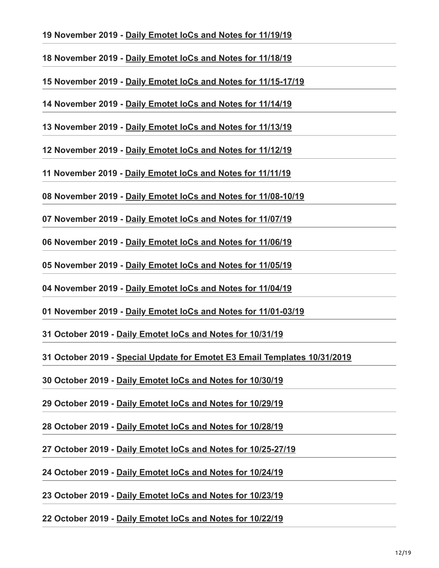# **19 November 2019 - [Daily Emotet IoCs and Notes for 11/19/19](https://paste.cryptolaemus.com/emotet/2019/11/19/emotet-malware-IoCs_11-19-19.html)**

**18 November 2019 - [Daily Emotet IoCs and Notes for 11/18/19](https://paste.cryptolaemus.com/emotet/2019/11/18/emotet-malware-IoCs_11-18-19.html)**

**15 November 2019 - [Daily Emotet IoCs and Notes for 11/15-17/19](https://paste.cryptolaemus.com/emotet/2019/11/15/17-emotet-malware-IoCs_11-15-17-19.html)**

**14 November 2019 - [Daily Emotet IoCs and Notes for 11/14/19](https://paste.cryptolaemus.com/emotet/2019/11/14/emotet-malware-IoCs_11-14-19.html)**

**13 November 2019 - [Daily Emotet IoCs and Notes for 11/13/19](https://paste.cryptolaemus.com/emotet/2019/11/13/emotet-malware-IoCs_11-13-19.html)**

**12 November 2019 - [Daily Emotet IoCs and Notes for 11/12/19](https://paste.cryptolaemus.com/emotet/2019/11/12/emotet-malware-IoCs_11-12-19.html)**

**11 November 2019 - [Daily Emotet IoCs and Notes for 11/11/19](https://paste.cryptolaemus.com/emotet/2019/11/11/emotet-malware-IoCs_11-11-19.html)**

**08 November 2019 - [Daily Emotet IoCs and Notes for 11/08-10/19](https://paste.cryptolaemus.com/emotet/2019/11/08/10-emotet-malware-IoCs_11-08-10-19.html)**

**07 November 2019 - [Daily Emotet IoCs and Notes for 11/07/19](https://paste.cryptolaemus.com/emotet/2019/11/07/emotet-malware-IoCs_11-07-19.html)**

**06 November 2019 - [Daily Emotet IoCs and Notes for 11/06/19](https://paste.cryptolaemus.com/emotet/2019/11/06/emotet-malware-IoCs_11-06-19.html)**

**05 November 2019 - [Daily Emotet IoCs and Notes for 11/05/19](https://paste.cryptolaemus.com/emotet/2019/11/05/emotet-malware-IoCs_11-05-19.html)**

**04 November 2019 - [Daily Emotet IoCs and Notes for 11/04/19](https://paste.cryptolaemus.com/emotet/2019/11/04/emotet-malware-IoCs_11-04-19.html)**

**01 November 2019 - [Daily Emotet IoCs and Notes for 11/01-03/19](https://paste.cryptolaemus.com/emotet/2019/11/01/03-emotet-malware-IoCs_11-01-03-19.html)**

**31 October 2019 - [Daily Emotet IoCs and Notes for 10/31/19](https://paste.cryptolaemus.com/emotet/2019/10/31/emotet-malware-IoCs_10-31-19.html)**

**31 October 2019 - [Special Update for Emotet E3 Email Templates 10/31/2019](https://paste.cryptolaemus.com/emotet/2019/10/31/special-halloweenupdate-10-31-19.html)**

**30 October 2019 - [Daily Emotet IoCs and Notes for 10/30/19](https://paste.cryptolaemus.com/emotet/2019/10/30/emotet-malware-IoCs_10-30-19.html)**

**29 October 2019 - [Daily Emotet IoCs and Notes for 10/29/19](https://paste.cryptolaemus.com/emotet/2019/10/29/emotet-malware-IoCs_10-29-19.html)**

**28 October 2019 - [Daily Emotet IoCs and Notes for 10/28/19](https://paste.cryptolaemus.com/emotet/2019/10/28/emotet-malware-IoCs_10-28-19.html)**

**27 October 2019 - [Daily Emotet IoCs and Notes for 10/25-27/19](https://paste.cryptolaemus.com/emotet/2019/10/27/27-emotet-malware-IoCs_10-25-27-19.html)**

**24 October 2019 - [Daily Emotet IoCs and Notes for 10/24/19](https://paste.cryptolaemus.com/emotet/2019/10/24/emotet-malware-IoCs_10-24-19.html)**

**23 October 2019 - [Daily Emotet IoCs and Notes for 10/23/19](https://paste.cryptolaemus.com/emotet/2019/10/23/emotet-malware-IoCs_10-23-19.html)**

**22 October 2019 - [Daily Emotet IoCs and Notes for 10/22/19](https://paste.cryptolaemus.com/emotet/2019/10/22/emotet-malware-IoCs_10-22-19.html)**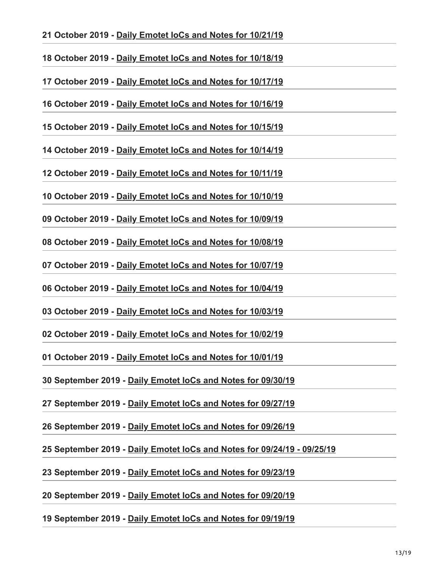#### **21 October 2019 - [Daily Emotet IoCs and Notes for 10/21/19](https://paste.cryptolaemus.com/emotet/2019/10/21/emotet-malware-IoCs_10-21-19.html)**

**18 October 2019 - [Daily Emotet IoCs and Notes for 10/18/19](https://paste.cryptolaemus.com/emotet/2019/10/18/emotet-malware-IoCs_10-18-19.html)**

**17 October 2019 - [Daily Emotet IoCs and Notes for 10/17/19](https://paste.cryptolaemus.com/emotet/2019/10/17/emotet-malware-IoCs_10-17-19.html)**

**16 October 2019 - [Daily Emotet IoCs and Notes for 10/16/19](https://paste.cryptolaemus.com/emotet/2019/10/16/emotet-malware-IoCs_10-16-19.html)**

**15 October 2019 - [Daily Emotet IoCs and Notes for 10/15/19](https://paste.cryptolaemus.com/emotet/2019/10/15/emotet-malware-IoCs_10-15-19.html)**

**14 October 2019 - [Daily Emotet IoCs and Notes for 10/14/19](https://paste.cryptolaemus.com/emotet/2019/10/14/emotet-malware-IoCs_10-14-19.html)**

**12 October 2019 - [Daily Emotet IoCs and Notes for 10/11/19](https://paste.cryptolaemus.com/emotet/2019/10/12/emotet-malware-IoCs_10-11-19.html)**

**10 October 2019 - [Daily Emotet IoCs and Notes for 10/10/19](https://paste.cryptolaemus.com/emotet/2019/10/10/emotet-malware-IoCs_10-10-19.html)**

**09 October 2019 - [Daily Emotet IoCs and Notes for 10/09/19](https://paste.cryptolaemus.com/emotet/2019/10/09/emotet-malware-IoCs_10-09-19.html)**

**08 October 2019 - [Daily Emotet IoCs and Notes for 10/08/19](https://paste.cryptolaemus.com/emotet/2019/10/08/emotet-malware-IoCs_10-08-19.html)**

**07 October 2019 - [Daily Emotet IoCs and Notes for 10/07/19](https://paste.cryptolaemus.com/emotet/2019/10/07/emotet-malware-IoCs_10-07-19.html)**

**06 October 2019 - [Daily Emotet IoCs and Notes for 10/04/19](https://paste.cryptolaemus.com/emotet/2019/10/06/emotet-malware-IoCs_10-04-19.html)**

**03 October 2019 - [Daily Emotet IoCs and Notes for 10/03/19](https://paste.cryptolaemus.com/emotet/2019/10/03/emotet-malware-IoCs_10-03-19.html)**

**02 October 2019 - [Daily Emotet IoCs and Notes for 10/02/19](https://paste.cryptolaemus.com/emotet/2019/10/02/emotet-malware-IoCs_10-02-19.html)**

**01 October 2019 - [Daily Emotet IoCs and Notes for 10/01/19](https://paste.cryptolaemus.com/emotet/2019/10/01/emotet-malware-IoCs_10-01-19.html)**

**30 September 2019 - [Daily Emotet IoCs and Notes for 09/30/19](https://paste.cryptolaemus.com/emotet/2019/09/30/emotet-malware-IoCs_09-30-19.html)**

**27 September 2019 - [Daily Emotet IoCs and Notes for 09/27/19](https://paste.cryptolaemus.com/emotet/2019/09/27/emotet-malware-IoCs_09-27-19.html)**

**26 September 2019 - [Daily Emotet IoCs and Notes for 09/26/19](https://paste.cryptolaemus.com/emotet/2019/09/26/emotet-malware-IoCs_09-26-19.html)**

**25 September 2019 - [Daily Emotet IoCs and Notes for 09/24/19 - 09/25/19](https://paste.cryptolaemus.com/emotet/2019/09/25/emotet-malware-IoCs_09-25-19.html)**

**23 September 2019 - [Daily Emotet IoCs and Notes for 09/23/19](https://paste.cryptolaemus.com/emotet/2019/09/23/emotet-malware-IoCs_09-23-19.html)**

**20 September 2019 - [Daily Emotet IoCs and Notes for 09/20/19](https://paste.cryptolaemus.com/emotet/2019/09/20/emotet-malware-IoCs_09-20-19.html)**

**19 September 2019 - [Daily Emotet IoCs and Notes for 09/19/19](https://paste.cryptolaemus.com/emotet/2019/09/19/emotet-malware-IoCs_09-19-19.html)**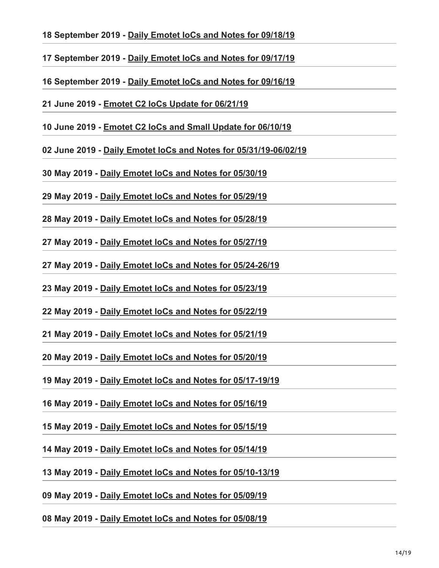- **18 September 2019 - [Daily Emotet IoCs and Notes for 09/18/19](https://paste.cryptolaemus.com/emotet/2019/09/18/emotet-malware-IoCs_09-18-19.html)**
- **17 September 2019 - [Daily Emotet IoCs and Notes for 09/17/19](https://paste.cryptolaemus.com/emotet/2019/09/17/emotet-malware-IoCs_09-17-19.html)**
- **16 September 2019 - [Daily Emotet IoCs and Notes for 09/16/19](https://paste.cryptolaemus.com/emotet/2019/09/16/emotet-malware-IoCs_09-16-19.html)**
- **21 June 2019 [Emotet C2 IoCs Update for 06/21/19](https://paste.cryptolaemus.com/emotet/2019/06/21/emotet-malware-IoCs_06-21-19.html)**
- **10 June 2019 [Emotet C2 IoCs and Small Update for 06/10/19](https://paste.cryptolaemus.com/emotet/2019/06/10/emotet-malware-IoCs_06-10-19.html)**
- **02 June 2019 [Daily Emotet IoCs and Notes for 05/31/19-06/02/19](https://paste.cryptolaemus.com/emotet/2019/06/02/emotet-malware-IoCs_05-31-19.html)**
- **30 May 2019 [Daily Emotet IoCs and Notes for 05/30/19](https://paste.cryptolaemus.com/emotet/2019/05/30/emotet-malware-IoCs_05-30-19.html)**
- **29 May 2019 [Daily Emotet IoCs and Notes for 05/29/19](https://paste.cryptolaemus.com/emotet/2019/05/29/emotet-malware-IoCs_05-29-19.html)**
- **28 May 2019 [Daily Emotet IoCs and Notes for 05/28/19](https://paste.cryptolaemus.com/emotet/2019/05/28/emotet-malware-IoCs_05-28-19.html)**
- **27 May 2019 [Daily Emotet IoCs and Notes for 05/27/19](https://paste.cryptolaemus.com/emotet/2019/05/27/emotet-malware-IoCs_05-27-19.html)**
- **27 May 2019 [Daily Emotet IoCs and Notes for 05/24-26/19](https://paste.cryptolaemus.com/emotet/2019/05/27/emotet-malware-IoCs_05-24-19.html)**
- **23 May 2019 [Daily Emotet IoCs and Notes for 05/23/19](https://paste.cryptolaemus.com/emotet/2019/05/23/emotet-malware-IoCs_05-23-19.html)**
- **22 May 2019 [Daily Emotet IoCs and Notes for 05/22/19](https://paste.cryptolaemus.com/emotet/2019/05/22/emotet-malware-IoCs_05-22-19.html)**
- **21 May 2019 [Daily Emotet IoCs and Notes for 05/21/19](https://paste.cryptolaemus.com/emotet/2019/05/21/emotet-malware-IoCs_05-21-19.html)**
- **20 May 2019 [Daily Emotet IoCs and Notes for 05/20/19](https://paste.cryptolaemus.com/emotet/2019/05/20/emotet-malware-IoCs_05-20-19.html)**
- **19 May 2019 [Daily Emotet IoCs and Notes for 05/17-19/19](https://paste.cryptolaemus.com/emotet/2019/05/19/emotet-malware-IoCs_05-17-19.html)**
- **16 May 2019 [Daily Emotet IoCs and Notes for 05/16/19](https://paste.cryptolaemus.com/emotet/2019/05/16/emotet-malware-IoCs_05-16-19.html)**
- **15 May 2019 [Daily Emotet IoCs and Notes for 05/15/19](https://paste.cryptolaemus.com/emotet/2019/05/15/emotet-malware-IoCs_05-15-19.html)**
- **14 May 2019 [Daily Emotet IoCs and Notes for 05/14/19](https://paste.cryptolaemus.com/emotet/2019/05/14/emotet-malware-IoCs_05-14-19.html)**
- **13 May 2019 [Daily Emotet IoCs and Notes for 05/10-13/19](https://paste.cryptolaemus.com/emotet/2019/05/13/emotet-malware-IoCs_05-10-19.html)**
- **09 May 2019 [Daily Emotet IoCs and Notes for 05/09/19](https://paste.cryptolaemus.com/emotet/2019/05/09/emotet-malware-IoCs_05-09-19.html)**

# **08 May 2019 - [Daily Emotet IoCs and Notes for 05/08/19](https://paste.cryptolaemus.com/emotet/2019/05/08/emotet-malware-IoCs_05-08-19.html)**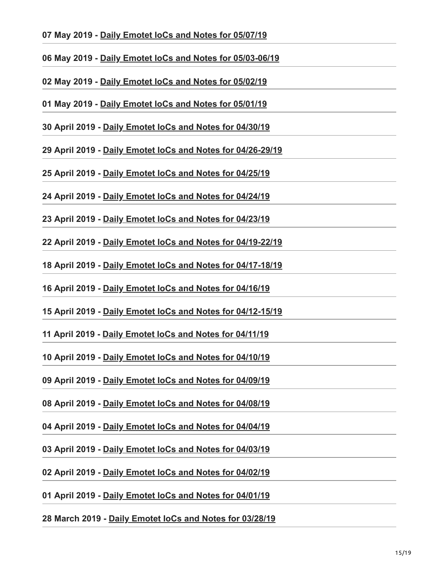- **07 May 2019 [Daily Emotet IoCs and Notes for 05/07/19](https://paste.cryptolaemus.com/emotet/2019/05/07/emotet-malware-IoCs_05-07-19.html)**
- **06 May 2019 [Daily Emotet IoCs and Notes for 05/03-06/19](https://paste.cryptolaemus.com/emotet/2019/05/06/emotet-malware-IoCs_05-03-19.html)**
- **02 May 2019 [Daily Emotet IoCs and Notes for 05/02/19](https://paste.cryptolaemus.com/emotet/2019/05/02/emotet-malware-IoCs_05-02-19.html)**
- **01 May 2019 [Daily Emotet IoCs and Notes for 05/01/19](https://paste.cryptolaemus.com/emotet/2019/05/01/emotet-malware-IoCs_05-01-19.html)**
- **30 April 2019 [Daily Emotet IoCs and Notes for 04/30/19](https://paste.cryptolaemus.com/emotet/2019/04/30/emotet-malware-IoCs_04-30-19.html)**
- **29 April 2019 [Daily Emotet IoCs and Notes for 04/26-29/19](https://paste.cryptolaemus.com/emotet/2019/04/29/29-emotet-malware-IoCs_04-29-19.html)**
- **25 April 2019 [Daily Emotet IoCs and Notes for 04/25/19](https://paste.cryptolaemus.com/emotet/2019/04/25/emotet-malware-IoCs_04-25-19.html)**
- **24 April 2019 [Daily Emotet IoCs and Notes for 04/24/19](https://paste.cryptolaemus.com/emotet/2019/04/24/emotet-malware-IoCs_04-24-19.html)**
- **23 April 2019 [Daily Emotet IoCs and Notes for 04/23/19](https://paste.cryptolaemus.com/emotet/2019/04/23/emotet-malware-IoCs_04-23-19.html)**
- **22 April 2019 [Daily Emotet IoCs and Notes for 04/19-22/19](https://paste.cryptolaemus.com/emotet/2019/04/22/22-emotet-malware-IoCs_04-19-22-19.html)**
- **18 April 2019 [Daily Emotet IoCs and Notes for 04/17-18/19](https://paste.cryptolaemus.com/emotet/2019/04/18/18-emotet-malware-IoCs_04-17-18-19.html)**
- **16 April 2019 [Daily Emotet IoCs and Notes for 04/16/19](https://paste.cryptolaemus.com/emotet/2019/04/16/emotet-malware-IoCs_04-16-19.html)**
- **15 April 2019 [Daily Emotet IoCs and Notes for 04/12-15/19](https://paste.cryptolaemus.com/emotet/2019/04/15/15-emotet-malware-IoCs_04-15-19.html)**
- **11 April 2019 - [Daily Emotet IoCs and Notes for 04/11/19](https://paste.cryptolaemus.com/emotet/2019/04/11/emotet-malware-IoCs_04-11-19.html)**
- **10 April 2019 [Daily Emotet IoCs and Notes for 04/10/19](https://paste.cryptolaemus.com/emotet/2019/04/10/emotet-malware-IoCs_04-10-19.html)**
- **09 April 2019 [Daily Emotet IoCs and Notes for 04/09/19](https://paste.cryptolaemus.com/emotet/2019/04/09/emotet-malware-IoCs_04-09-19.html)**
- **08 April 2019 [Daily Emotet IoCs and Notes for 04/08/19](https://paste.cryptolaemus.com/emotet/2019/04/08/emotet-malware-IoCs_04-08-19.html)**
- **04 April 2019 [Daily Emotet IoCs and Notes for 04/04/19](https://paste.cryptolaemus.com/emotet/2019/04/04/emotet-malware-IoCs_04-04-19.html)**
- **03 April 2019 [Daily Emotet IoCs and Notes for 04/03/19](https://paste.cryptolaemus.com/emotet/2019/04/03/emotet-malware-IoCs_04-03-19.html)**
- **02 April 2019 [Daily Emotet IoCs and Notes for 04/02/19](https://paste.cryptolaemus.com/emotet/2019/04/02/emotet-malware-IoCs_04-02-19.html)**
- **01 April 2019 [Daily Emotet IoCs and Notes for 04/01/19](https://paste.cryptolaemus.com/emotet/2019/04/01/emotet-malware-IoCs_04-01-19.html)**

# **28 March 2019 - [Daily Emotet IoCs and Notes for 03/28/19](https://paste.cryptolaemus.com/emotet/2019/03/28/emotet-malware-IoCs_03-28-19.html)**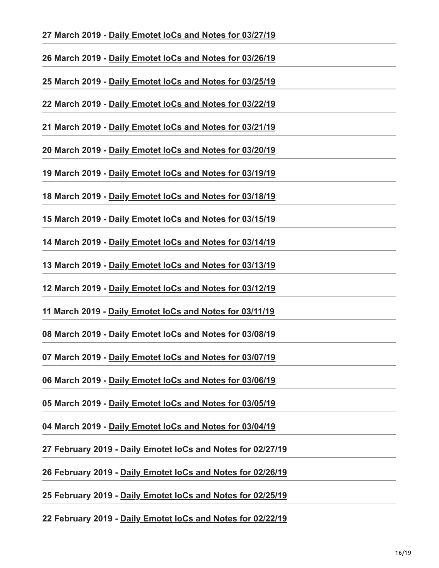**27 March 2019 - [Daily Emotet IoCs and Notes for 03/27/19](https://paste.cryptolaemus.com/emotet/2019/03/27/emotet-malware-IoCs_03-27-19.html)**

**26 March 2019 - [Daily Emotet IoCs and Notes for 03/26/19](https://paste.cryptolaemus.com/emotet/2019/03/26/emotet-malware-IoCs_03-26-19.html)**

**25 March 2019 - [Daily Emotet IoCs and Notes for 03/25/19](https://paste.cryptolaemus.com/emotet/2019/03/25/emotet-malware-IoCs_03-25-19.html)**

**22 March 2019 - [Daily Emotet IoCs and Notes for 03/22/19](https://paste.cryptolaemus.com/emotet/2019/03/22/emotet-malware-IoCs_03-22-19.html)**

**21 March 2019 - [Daily Emotet IoCs and Notes for 03/21/19](https://paste.cryptolaemus.com/emotet/2019/03/21/emotet-malware-IoCs_03-21-19.html)**

**20 March 2019 - [Daily Emotet IoCs and Notes for 03/20/19](https://paste.cryptolaemus.com/emotet/2019/03/20/emotet-malware-IoCs_03-20-19.html)**

**19 March 2019 - [Daily Emotet IoCs and Notes for 03/19/19](https://paste.cryptolaemus.com/emotet/2019/03/19/emotet-malware-IoCs_03-19-19.html)**

**18 March 2019 - [Daily Emotet IoCs and Notes for 03/18/19](https://paste.cryptolaemus.com/emotet/2019/03/18/emotet-malware-IoCs_03-18-19.html)**

**15 March 2019 - [Daily Emotet IoCs and Notes for 03/15/19](https://paste.cryptolaemus.com/emotet/2019/03/15/emotet-malware-IoCs_03-15-19.html)**

**14 March 2019 - [Daily Emotet IoCs and Notes for 03/14/19](https://paste.cryptolaemus.com/emotet/2019/03/14/emotet-malware-IoCs_03-14-19.html)**

**13 March 2019 - [Daily Emotet IoCs and Notes for 03/13/19](https://paste.cryptolaemus.com/emotet/2019/03/13/emotet-malware-IoCs_03-13-19.html)**

**12 March 2019 - [Daily Emotet IoCs and Notes for 03/12/19](https://paste.cryptolaemus.com/emotet/2019/03/12/emotet-malware-IoCs_03-12-19.html)**

**11 March 2019 - [Daily Emotet IoCs and Notes for 03/11/19](https://paste.cryptolaemus.com/emotet/2019/03/11/emotet-malware-IoCs_03-11-19.html)**

**08 March 2019 - [Daily Emotet IoCs and Notes for 03/08/19](https://paste.cryptolaemus.com/emotet/2019/03/08/emotet-malware-IoCs_03-08-19.html)**

**07 March 2019 - [Daily Emotet IoCs and Notes for 03/07/19](https://paste.cryptolaemus.com/emotet/2019/03/07/emotet-malware-IoCs_03-07-19.html)**

**06 March 2019 - [Daily Emotet IoCs and Notes for 03/06/19](https://paste.cryptolaemus.com/emotet/2019/03/06/emotet-malware-IoCs_03-06-19.html)**

**05 March 2019 - [Daily Emotet IoCs and Notes for 03/05/19](https://paste.cryptolaemus.com/emotet/2019/03/05/emotet-malware-IoCs_03-05-19.html)**

**04 March 2019 - [Daily Emotet IoCs and Notes for 03/04/19](https://paste.cryptolaemus.com/emotet/2019/03/04/emotet-malware-IoCs_03-04-19.html)**

**27 February 2019 - [Daily Emotet IoCs and Notes for 02/27/19](https://paste.cryptolaemus.com/emotet/2019/02/27/emotet-malware-IoCs_02-27-19.html)**

**26 February 2019 - [Daily Emotet IoCs and Notes for 02/26/19](https://paste.cryptolaemus.com/emotet/2019/02/26/emotet-malware-IoCs_02-26-19.html)**

**25 February 2019 - [Daily Emotet IoCs and Notes for 02/25/19](https://paste.cryptolaemus.com/emotet/2019/02/25/emotet-malware-IoCs_02-25-19.html)**

**22 February 2019 - [Daily Emotet IoCs and Notes for 02/22/19](https://paste.cryptolaemus.com/emotet/2019/02/22/emotet-malware-IoCs_02-22-19.html)**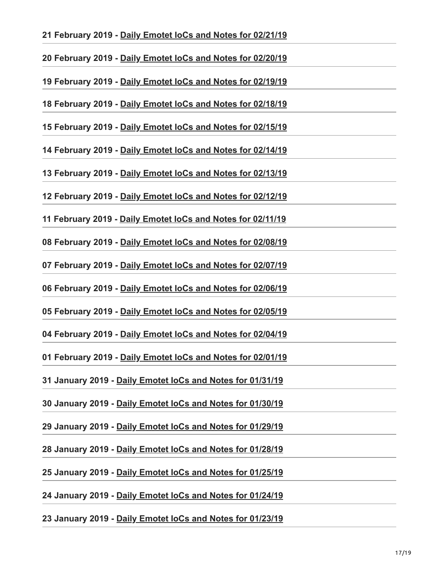# **21 February 2019 - [Daily Emotet IoCs and Notes for 02/21/19](https://paste.cryptolaemus.com/emotet/2019/02/21/emotet-malware-IoCs_02-21-19.html)**

**20 February 2019 - [Daily Emotet IoCs and Notes for 02/20/19](https://paste.cryptolaemus.com/emotet/2019/02/20/emotet-malware-IoCs_02-20-19.html)**

**19 February 2019 - [Daily Emotet IoCs and Notes for 02/19/19](https://paste.cryptolaemus.com/emotet/2019/02/19/emotet-malware-IoCs_02-19-19.html)**

**18 February 2019 - [Daily Emotet IoCs and Notes for 02/18/19](https://paste.cryptolaemus.com/emotet/2019/02/18/emotet-malware-IoCs_02-18-19.html)**

**15 February 2019 - [Daily Emotet IoCs and Notes for 02/15/19](https://paste.cryptolaemus.com/emotet/2019/02/15/emotet-malware-IoCs_02-15-19.html)**

**14 February 2019 - [Daily Emotet IoCs and Notes for 02/14/19](https://paste.cryptolaemus.com/emotet/2019/02/14/emotet-malware-IoCs_02-14-19.html)**

**13 February 2019 - [Daily Emotet IoCs and Notes for 02/13/19](https://paste.cryptolaemus.com/emotet/2019/02/13/emotet-malware-IoCs_02-13-19.html)**

**12 February 2019 - [Daily Emotet IoCs and Notes for 02/12/19](https://paste.cryptolaemus.com/emotet/2019/02/12/emotet-malware-IoCs_02-12-19.html)**

**11 February 2019 - [Daily Emotet IoCs and Notes for 02/11/19](https://paste.cryptolaemus.com/emotet/2019/02/11/emotet-malware-IoCs_02-11-19.html)**

**08 February 2019 - [Daily Emotet IoCs and Notes for 02/08/19](https://paste.cryptolaemus.com/emotet/2019/02/08/emotet-malware-IoCs_02-08-19.html)**

**07 February 2019 - [Daily Emotet IoCs and Notes for 02/07/19](https://paste.cryptolaemus.com/emotet/2019/02/07/emotet-malware-IoCs_02-07-19.html)**

**06 February 2019 - [Daily Emotet IoCs and Notes for 02/06/19](https://paste.cryptolaemus.com/emotet/2019/02/06/emotet-malware-IoCs_02-06-19.html)**

**05 February 2019 - [Daily Emotet IoCs and Notes for 02/05/19](https://paste.cryptolaemus.com/emotet/2019/02/05/emotet-malware-IoCs_02-05-19.html)**

**04 February 2019 - [Daily Emotet IoCs and Notes for 02/04/19](https://paste.cryptolaemus.com/emotet/2019/02/04/emotet-malware-IoCs_02-04-19.html)**

**01 February 2019 - [Daily Emotet IoCs and Notes for 02/01/19](https://paste.cryptolaemus.com/emotet/2019/02/01/emotet-malware-IoCs_02-01-19.html)**

**31 January 2019 - [Daily Emotet IoCs and Notes for 01/31/19](https://paste.cryptolaemus.com/emotet/2019/01/31/emotet-malware-IoCs_01-31-19.html)**

**30 January 2019 - [Daily Emotet IoCs and Notes for 01/30/19](https://paste.cryptolaemus.com/emotet/2019/01/30/emotet-malware-IoCs_01-30-19.html)**

**29 January 2019 - [Daily Emotet IoCs and Notes for 01/29/19](https://paste.cryptolaemus.com/emotet/2019/01/29/emotet-malware-IoCs_01-29-19.html)**

**28 January 2019 - [Daily Emotet IoCs and Notes for 01/28/19](https://paste.cryptolaemus.com/emotet/2019/01/28/emotet-malware-IoCs_01-28-19.html)**

**25 January 2019 - [Daily Emotet IoCs and Notes for 01/25/19](https://paste.cryptolaemus.com/emotet/2019/01/25/emotet-malware-IoCs_01-25-19.html)**

**24 January 2019 - [Daily Emotet IoCs and Notes for 01/24/19](https://paste.cryptolaemus.com/emotet/2019/01/24/emotet-malware-IoCs_01-24-19.html)**

**23 January 2019 - [Daily Emotet IoCs and Notes for 01/23/19](https://paste.cryptolaemus.com/emotet/2019/01/23/emotet-malware-IoCs_01-23-19.html)**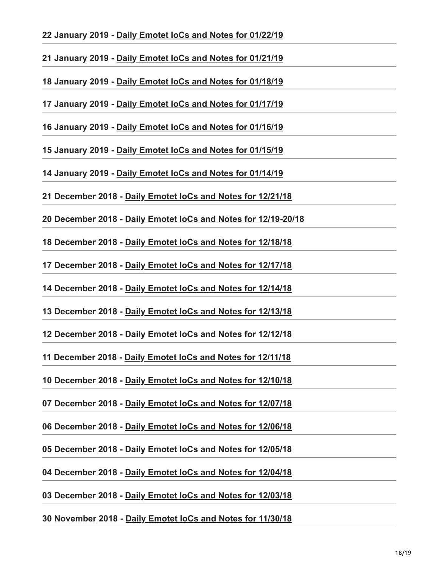# **22 January 2019 - [Daily Emotet IoCs and Notes for 01/22/19](https://paste.cryptolaemus.com/emotet/2019/01/22/emotet-malware-IoCs_01-22-19.html)**

**21 January 2019 - [Daily Emotet IoCs and Notes for 01/21/19](https://paste.cryptolaemus.com/emotet/2019/01/21/emotet-malware-IoCs_01-21-19.html)**

**18 January 2019 - [Daily Emotet IoCs and Notes for 01/18/19](https://paste.cryptolaemus.com/emotet/2019/01/18/emotet-malware-IoCs_01-18-19.html)**

**17 January 2019 - [Daily Emotet IoCs and Notes for 01/17/19](https://paste.cryptolaemus.com/emotet/2019/01/17/emotet-malware-IoCs_01-17-19.html)**

**16 January 2019 - [Daily Emotet IoCs and Notes for 01/16/19](https://paste.cryptolaemus.com/emotet/2019/01/16/emotet-malware-IoCs_01-16-19.html)**

**15 January 2019 - [Daily Emotet IoCs and Notes for 01/15/19](https://paste.cryptolaemus.com/emotet/2019/01/15/emotet-malware-IoCs_01-15-19.html)**

**14 January 2019 - [Daily Emotet IoCs and Notes for 01/14/19](https://paste.cryptolaemus.com/emotet/2019/01/14/emotet-malware-IoCs_01-14-19.html)**

**21 December 2018 - [Daily Emotet IoCs and Notes for 12/21/18](https://paste.cryptolaemus.com/emotet/2018/12/21/emotet-malware-IoCs_12-21-18.html)**

**20 December 2018 - [Daily Emotet IoCs and Notes for 12/19-20/18](https://paste.cryptolaemus.com/emotet/2018/12/20/20-emotet-malware-IoCs_12-19-20-18.html)**

**18 December 2018 - [Daily Emotet IoCs and Notes for 12/18/18](https://paste.cryptolaemus.com/emotet/2018/12/18/emotet-malware-IoCs_12-18-18.html)**

**17 December 2018 - [Daily Emotet IoCs and Notes for 12/17/18](https://paste.cryptolaemus.com/emotet/2018/12/17/emotet-malware-IoCs_12-17-18.html)**

**14 December 2018 - [Daily Emotet IoCs and Notes for 12/14/18](https://paste.cryptolaemus.com/emotet/2018/12/14/emotet-malware-IoCs_12-14-18.html)**

**13 December 2018 - [Daily Emotet IoCs and Notes for 12/13/18](https://paste.cryptolaemus.com/emotet/2018/12/13/emotet-malware-IoCs_12-13-18.html)**

**12 December 2018 - [Daily Emotet IoCs and Notes for 12/12/18](https://paste.cryptolaemus.com/emotet/2018/12/12/emotet-malware-IoCs_12-12-18.html)**

**11 December 2018 - [Daily Emotet IoCs and Notes for 12/11/18](https://paste.cryptolaemus.com/emotet/2018/12/11/emotet-malware-IoCs_12-11-18.html)**

**10 December 2018 - [Daily Emotet IoCs and Notes for 12/10/18](https://paste.cryptolaemus.com/emotet/2018/12/10/emotet-malware-IoCs_12-10-18.html)**

**07 December 2018 - [Daily Emotet IoCs and Notes for 12/07/18](https://paste.cryptolaemus.com/emotet/2018/12/07/emotet-malware-IoCs_12-07-18.html)**

**06 December 2018 - [Daily Emotet IoCs and Notes for 12/06/18](https://paste.cryptolaemus.com/emotet/2018/12/06/emotet-malware-IoCs_12-06-18.html)**

**05 December 2018 - [Daily Emotet IoCs and Notes for 12/05/18](https://paste.cryptolaemus.com/emotet/2018/12/05/emotet-malware-IoCs_12-05-18.html)**

**04 December 2018 - [Daily Emotet IoCs and Notes for 12/04/18](https://paste.cryptolaemus.com/emotet/2018/12/04/emotet-malware-IoCs_12-04-18.html)**

**03 December 2018 - [Daily Emotet IoCs and Notes for 12/03/18](https://paste.cryptolaemus.com/emotet/2018/12/03/emotet-malware-IoCs_12-03-18.html)**

**30 November 2018 - [Daily Emotet IoCs and Notes for 11/30/18](https://paste.cryptolaemus.com/emotet/2018/11/30/emotet-malware-IoCs_11-30-18.html)**